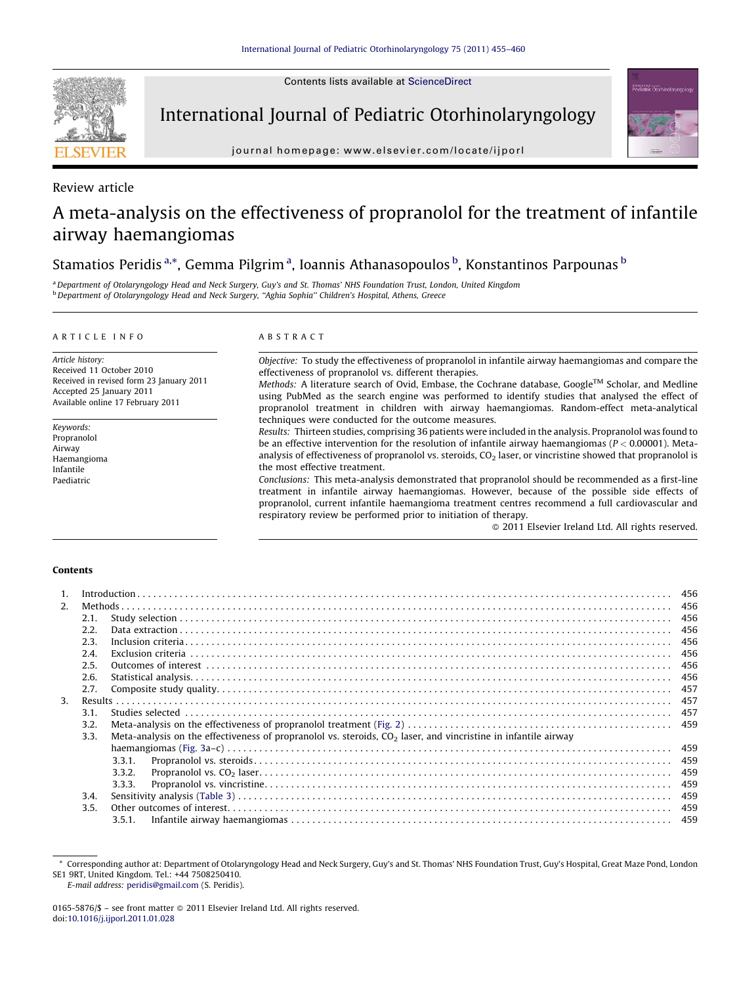Contents lists available at [ScienceDirect](http://www.sciencedirect.com/science/journal/01655876)



International Journal of Pediatric Otorhinolaryngology

journal homepage: www.elsevier.com/locate/ijporl



Review article

## A meta-analysis on the effectiveness of propranolol for the treatment of infantile airway haemangiomas

## Stamatios Peridis <sup>a,</sup>\*, Gemma Pilgrim <sup>a</sup>, Ioannis Athanasopoulos <sup>b</sup>, Konstantinos Parpounas <sup>b</sup>

aDepartment of Otolaryngology Head and Neck Surgery, Guy's and St. Thomas' NHS Foundation Trust, London, United Kingdom <sup>b</sup> Department of Otolaryngology Head and Neck Surgery, "Aghia Sophia" Children's Hospital, Athens, Greece

#### ARTICLE INFO

Article history: Received 11 October 2010 Received in revised form 23 January 2011 Accepted 25 January 2011 Available online 17 February 2011

Keywords: Propranolol Airway Haemangioma Infantile Paediatric

## ABSTRACT

Objective: To study the effectiveness of propranolol in infantile airway haemangiomas and compare the effectiveness of propranolol vs. different therapies.

Methods: A literature search of Ovid, Embase, the Cochrane database, Google™ Scholar, and Medline using PubMed as the search engine was performed to identify studies that analysed the effect of propranolol treatment in children with airway haemangiomas. Random-effect meta-analytical techniques were conducted for the outcome measures.

Results: Thirteen studies, comprising 36 patients were included in the analysis. Propranolol was found to be an effective intervention for the resolution of infantile airway haemangiomas ( $P < 0.00001$ ). Metaanalysis of effectiveness of propranolol vs. steroids,  $CO<sub>2</sub>$  laser, or vincristine showed that propranolol is the most effective treatment.

Conclusions: This meta-analysis demonstrated that propranolol should be recommended as a first-line treatment in infantile airway haemangiomas. However, because of the possible side effects of propranolol, current infantile haemangioma treatment centres recommend a full cardiovascular and respiratory review be performed prior to initiation of therapy.

- 2011 Elsevier Ireland Ltd. All rights reserved.

## Contents

| $\mathbf{1}$ . |      |                                                                                                                  |     |  |
|----------------|------|------------------------------------------------------------------------------------------------------------------|-----|--|
| 2.             |      |                                                                                                                  |     |  |
|                | 2.1. |                                                                                                                  |     |  |
|                | 2.2. |                                                                                                                  | 456 |  |
|                | 2.3. |                                                                                                                  |     |  |
|                | 2.4. |                                                                                                                  |     |  |
|                | 2.5. |                                                                                                                  |     |  |
|                | 2.6. |                                                                                                                  |     |  |
|                | 2.7. |                                                                                                                  |     |  |
| 3.             |      |                                                                                                                  |     |  |
|                | 3.1. |                                                                                                                  |     |  |
|                | 3.2. |                                                                                                                  |     |  |
|                | 3.3. | Meta-analysis on the effectiveness of propranolol vs. steroids, $CO2$ laser, and vincristine in infantile airway |     |  |
|                |      |                                                                                                                  |     |  |
|                |      | 3.3.1.                                                                                                           |     |  |
|                |      | 3.3.2.                                                                                                           |     |  |
|                |      | 3.3.3.                                                                                                           |     |  |
|                | 3.4. |                                                                                                                  |     |  |
|                | 3.5. |                                                                                                                  |     |  |
|                |      | 3.5.1.                                                                                                           |     |  |
|                |      |                                                                                                                  |     |  |

E-mail address: [peridis@gmail.com](mailto:peridis@gmail.com) (S. Peridis).

<sup>\*</sup> Corresponding author at: Department of Otolaryngology Head and Neck Surgery, Guy's and St. Thomas' NHS Foundation Trust, Guy's Hospital, Great Maze Pond, London SE1 9RT, United Kingdom. Tel.: +44 7508250410.

<sup>0165-5876/\$ –</sup> see front matter  $\odot$  2011 Elsevier Ireland Ltd. All rights reserved. doi:[10.1016/j.ijporl.2011.01.028](http://dx.doi.org/10.1016/j.ijporl.2011.01.028)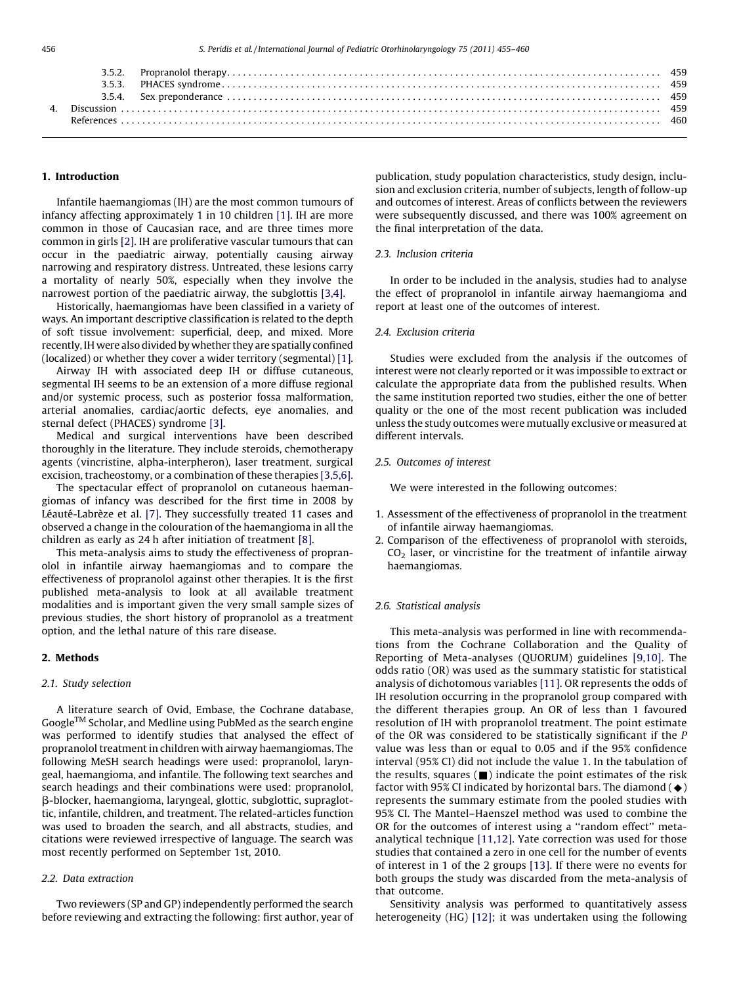#### 1. Introduction

Infantile haemangiomas (IH) are the most common tumours of infancy affecting approximately 1 in 10 children [\[1\].](#page-5-0) IH are more common in those of Caucasian race, and are three times more common in girls [\[2\]](#page-5-0). IH are proliferative vascular tumours that can occur in the paediatric airway, potentially causing airway narrowing and respiratory distress. Untreated, these lesions carry a mortality of nearly 50%, especially when they involve the narrowest portion of the paediatric airway, the subglottis [\[3,4\].](#page-5-0)

Historically, haemangiomas have been classified in a variety of ways. An important descriptive classification is related to the depth of soft tissue involvement: superficial, deep, and mixed. More recently, IH were also divided by whether they are spatially confined (localized) or whether they cover a wider territory (segmental) [\[1\].](#page-5-0)

Airway IH with associated deep IH or diffuse cutaneous, segmental IH seems to be an extension of a more diffuse regional and/or systemic process, such as posterior fossa malformation, arterial anomalies, cardiac/aortic defects, eye anomalies, and sternal defect (PHACES) syndrome [\[3\].](#page-5-0)

Medical and surgical interventions have been described thoroughly in the literature. They include steroids, chemotherapy agents (vincristine, alpha-interpheron), laser treatment, surgical excision, tracheostomy, or a combination of these therapies [\[3,5,6\].](#page-5-0)

The spectacular effect of propranolol on cutaneous haemangiomas of infancy was described for the first time in 2008 by Léauté-Labrèze et al. [\[7\]](#page-5-0). They successfully treated 11 cases and observed a change in the colouration of the haemangioma in all the children as early as 24 h after initiation of treatment [\[8\]](#page-5-0).

This meta-analysis aims to study the effectiveness of propranolol in infantile airway haemangiomas and to compare the effectiveness of propranolol against other therapies. It is the first published meta-analysis to look at all available treatment modalities and is important given the very small sample sizes of previous studies, the short history of propranolol as a treatment option, and the lethal nature of this rare disease.

#### 2. Methods

#### 2.1. Study selection

A literature search of Ovid, Embase, the Cochrane database,  $Google^{TM}$  Scholar, and Medline using PubMed as the search engine was performed to identify studies that analysed the effect of propranolol treatment in children with airway haemangiomas. The following MeSH search headings were used: propranolol, laryngeal, haemangioma, and infantile. The following text searches and search headings and their combinations were used: propranolol, b-blocker, haemangioma, laryngeal, glottic, subglottic, supraglottic, infantile, children, and treatment. The related-articles function was used to broaden the search, and all abstracts, studies, and citations were reviewed irrespective of language. The search was most recently performed on September 1st, 2010.

#### 2.2. Data extraction

Two reviewers (SP and GP) independently performed the search before reviewing and extracting the following: first author, year of publication, study population characteristics, study design, inclusion and exclusion criteria, number of subjects, length of follow-up and outcomes of interest. Areas of conflicts between the reviewers were subsequently discussed, and there was 100% agreement on the final interpretation of the data.

#### 2.3. Inclusion criteria

In order to be included in the analysis, studies had to analyse the effect of propranolol in infantile airway haemangioma and report at least one of the outcomes of interest.

## 2.4. Exclusion criteria

Studies were excluded from the analysis if the outcomes of interest were not clearly reported or it was impossible to extract or calculate the appropriate data from the published results. When the same institution reported two studies, either the one of better quality or the one of the most recent publication was included unless the study outcomes were mutually exclusive or measured at different intervals.

#### 2.5. Outcomes of interest

We were interested in the following outcomes:

- 1. Assessment of the effectiveness of propranolol in the treatment of infantile airway haemangiomas.
- 2. Comparison of the effectiveness of propranolol with steroids,  $CO<sub>2</sub>$  laser, or vincristine for the treatment of infantile airway haemangiomas.

#### 2.6. Statistical analysis

This meta-analysis was performed in line with recommendations from the Cochrane Collaboration and the Quality of Reporting of Meta-analyses (QUORUM) guidelines [\[9,10\]](#page-5-0). The odds ratio (OR) was used as the summary statistic for statistical analysis of dichotomous variables [\[11\]](#page-5-0). OR represents the odds of IH resolution occurring in the propranolol group compared with the different therapies group. An OR of less than 1 favoured resolution of IH with propranolol treatment. The point estimate of the OR was considered to be statistically significant if the P value was less than or equal to 0.05 and if the 95% confidence interval (95% CI) did not include the value 1. In the tabulation of the results, squares  $(\blacksquare)$  indicate the point estimates of the risk factor with 95% CI indicated by horizontal bars. The diamond  $(\blacklozenge)$ represents the summary estimate from the pooled studies with 95% CI. The Mantel–Haenszel method was used to combine the OR for the outcomes of interest using a ''random effect'' metaanalytical technique [\[11,12\].](#page-5-0) Yate correction was used for those studies that contained a zero in one cell for the number of events of interest in 1 of the 2 groups [\[13\]](#page-5-0). If there were no events for both groups the study was discarded from the meta-analysis of that outcome.

Sensitivity analysis was performed to quantitatively assess heterogeneity (HG) [\[12\]](#page-5-0); it was undertaken using the following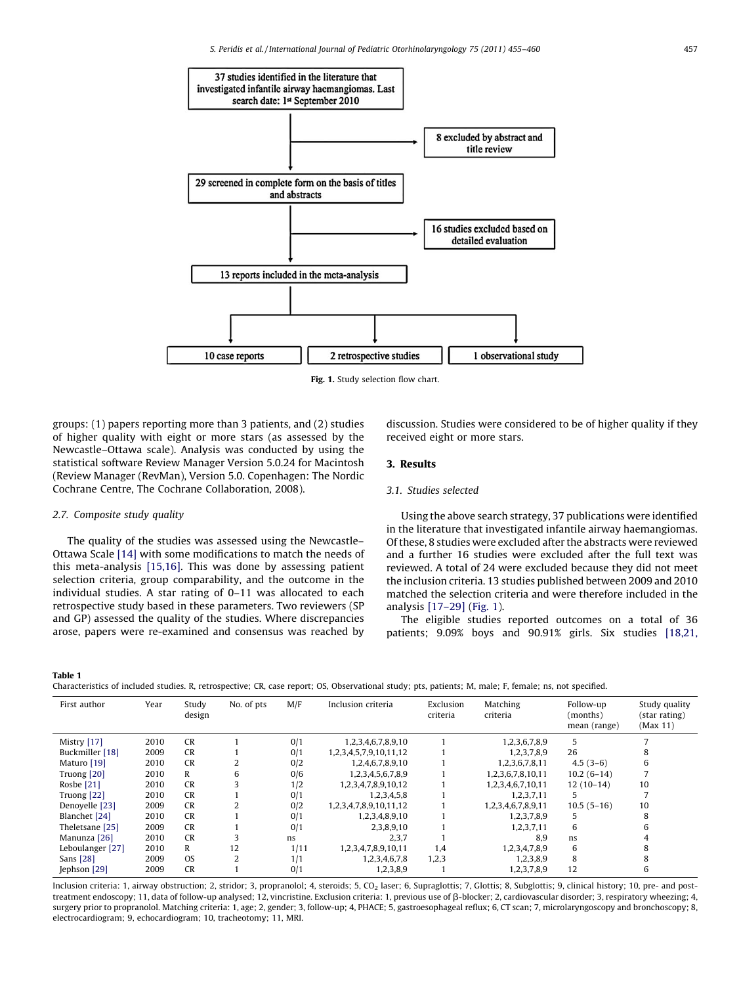<span id="page-2-0"></span>

Fig. 1. Study selection flow chart.

groups: (1) papers reporting more than 3 patients, and (2) studies of higher quality with eight or more stars (as assessed by the Newcastle–Ottawa scale). Analysis was conducted by using the statistical software Review Manager Version 5.0.24 for Macintosh (Review Manager (RevMan), Version 5.0. Copenhagen: The Nordic Cochrane Centre, The Cochrane Collaboration, 2008).

# received eight or more stars.

## 3. Results

## 3.1. Studies selected

## 2.7. Composite study quality

The quality of the studies was assessed using the Newcastle– Ottawa Scale [\[14\]](#page-5-0) with some modifications to match the needs of this meta-analysis [\[15,16\].](#page-5-0) This was done by assessing patient selection criteria, group comparability, and the outcome in the individual studies. A star rating of 0–11 was allocated to each retrospective study based in these parameters. Two reviewers (SP and GP) assessed the quality of the studies. Where discrepancies arose, papers were re-examined and consensus was reached by

Using the above search strategy, 37 publications were identified in the literature that investigated infantile airway haemangiomas. Of these, 8 studies were excluded after the abstracts were reviewed and a further 16 studies were excluded after the full text was reviewed. A total of 24 were excluded because they did not meet the inclusion criteria. 13 studies published between 2009 and 2010 matched the selection criteria and were therefore included in the analysis [\[17–29\]](#page-5-0) (Fig. 1).

discussion. Studies were considered to be of higher quality if they

The eligible studies reported outcomes on a total of 36 patients; 9.09% boys and 90.91% girls. Six studies [\[18,21,](#page-5-0)

Table 1

| Characteristics of included studies. R, retrospective; CR, case report; OS, Observational study; pts, patients; M, male; F, female; ns, not specified. |  |  |  |
|--------------------------------------------------------------------------------------------------------------------------------------------------------|--|--|--|
|                                                                                                                                                        |  |  |  |

| First author     | Year | Study<br>design | No. of pts     | M/F  | Inclusion criteria     | Exclusion<br>criteria | Matching<br>criteria | Follow-up<br>(months)<br>mean (range) | Study quality<br>(star rating)<br>(Max 11) |
|------------------|------|-----------------|----------------|------|------------------------|-----------------------|----------------------|---------------------------------------|--------------------------------------------|
| Mistry [17]      | 2010 | <b>CR</b>       |                | 0/1  | 1,2,3,4,6,7,8,9,10     |                       | 1,2,3,6,7,8,9        | 5                                     |                                            |
| Buckmiller [18]  | 2009 | <b>CR</b>       |                | 0/1  | 1,2,3,4,5,7,9,10,11,12 |                       | 1,2,3,7,8,9          | 26                                    | 8                                          |
| Maturo [19]      | 2010 | <b>CR</b>       |                | 0/2  | 1,2,4,6,7,8,9,10       |                       | 1,2,3,6,7,8,11       | $4.5(3-6)$                            | 6                                          |
| Truong [20]      | 2010 | R               | 6              | 0/6  | 1,2,3,4,5,6,7,8,9      |                       | 1,2,3,6,7,8,10,11    | $10.2(6-14)$                          |                                            |
| Rosbe [21]       | 2010 | <b>CR</b>       |                | 1/2  | 1,2,3,4,7,8,9,10,12    |                       | 1,2,3,4,6,7,10,11    | $12(10-14)$                           | 10                                         |
| Truong [22]      | 2010 | <b>CR</b>       |                | 0/1  | 1,2,3,4,5,8            |                       | 1,2,3,7,11           | 5.                                    |                                            |
| Denoyelle [23]   | 2009 | <b>CR</b>       |                | 0/2  | 1,2,3,4,7,8,9,10,11,12 |                       | 1,2,3,4,6,7,8,9,11   | $10.5(5-16)$                          | 10                                         |
| Blanchet [24]    | 2010 | <b>CR</b>       |                | 0/1  | 1,2,3,4,8,9,10         |                       | 1,2,3,7,8,9          | 5                                     | 8                                          |
| Theletsane [25]  | 2009 | <b>CR</b>       |                | 0/1  | 2,3,8,9,10             |                       | 1,2,3,7,11           | 6                                     | 6                                          |
| Manunza [26]     | 2010 | <b>CR</b>       |                | ns.  | 2,3,7                  |                       | 8.9                  | ns                                    | 4                                          |
| Leboulanger [27] | 2010 | R               | 12             | 1/11 | 1,2,3,4,7,8,9,10,11    | 1,4                   | 1,2,3,4,7,8,9        | 6                                     | 8                                          |
| Sans [28]        | 2009 | <b>OS</b>       | $\overline{2}$ | 1/1  | 1,2,3,4,6,7,8          | 1,2,3                 | 1,2,3,8,9            | 8                                     | 8                                          |
| Jephson [29]     | 2009 | <b>CR</b>       |                | 0/1  | 1,2,3,8,9              |                       | 1,2,3,7,8,9          | 12                                    | 6                                          |

Inclusion criteria: 1, airway obstruction; 2, stridor; 3, propranolol; 4, steroids; 5, CO<sub>2</sub> laser; 6, Supraglottis; 7, Glottis; 8, Subglottis; 9, clinical history; 10, pre- and posttreatment endoscopy; 11, data of follow-up analysed; 12, vincristine. Exclusion criteria: 1, previous use of b-blocker; 2, cardiovascular disorder; 3, respiratory wheezing; 4, surgery prior to propranolol. Matching criteria: 1, age; 2, gender; 3, follow-up; 4, PHACE; 5, gastroesophageal reflux; 6, CT scan; 7, microlaryngoscopy and bronchoscopy; 8, electrocardiogram; 9, echocardiogram; 10, tracheotomy; 11, MRI.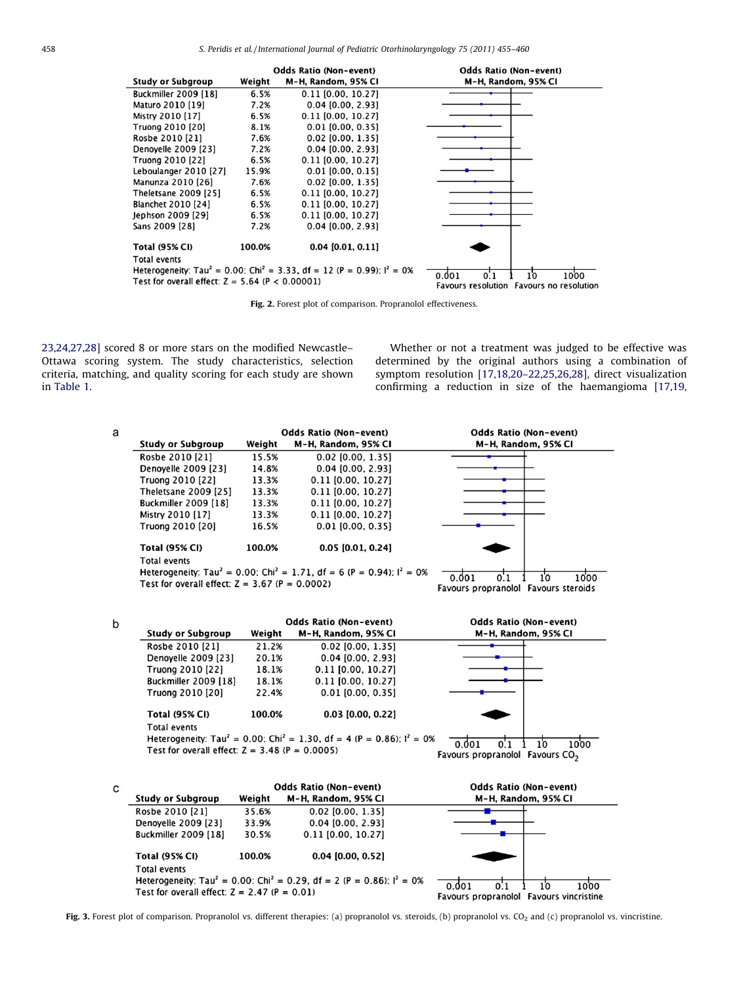<span id="page-3-0"></span>

|                                                   |        | <b>Odds Ratio (Non-event)</b>                                                                   | <b>Odds Ratio (Non-event)</b>                                          |
|---------------------------------------------------|--------|-------------------------------------------------------------------------------------------------|------------------------------------------------------------------------|
| <b>Study or Subgroup</b>                          | Weight | M-H, Random, 95% CI                                                                             | M-H, Random, 95% CI                                                    |
| <b>Buckmiller 2009 [18]</b>                       | 6.5%   | $0.11$ [0.00, 10.27]                                                                            |                                                                        |
| Maturo 2010 [19]                                  | 7.2%   | $0.04$ $[0.00, 2.93]$                                                                           |                                                                        |
| Mistry 2010 [17]                                  | 6.5%   | $0.11$ $[0.00, 10.27]$                                                                          |                                                                        |
| Truong 2010 [20]                                  | 8.1%   | $0.01$ [0.00, 0.35]                                                                             |                                                                        |
| Rosbe 2010 [21]                                   | 7.6%   | $0.02$ [0.00, 1.35]                                                                             |                                                                        |
| Denoyelle 2009 [23]                               | 7.2%   | $0.04$ $[0.00, 2.93]$                                                                           |                                                                        |
| Truong 2010 [22]                                  | 6.5%   | $0.11$ $[0.00, 10.27]$                                                                          |                                                                        |
| Leboulanger 2010 [27]                             | 15.9%  | $0.01$ [0.00, 0.15]                                                                             |                                                                        |
| Manunza 2010 [26]                                 | 7.6%   | $0.02$ $[0.00, 1.35]$                                                                           |                                                                        |
| Theletsane 2009 [25]                              | 6.5%   | $0.11$ $[0.00, 10.27]$                                                                          |                                                                        |
| Blanchet 2010 [24]                                | 6.5%   | $0.11$ $[0.00, 10.27]$                                                                          |                                                                        |
| Jephson 2009 [29]                                 | 6.5%   | $0.11$ $[0.00, 10.27]$                                                                          |                                                                        |
| Sans 2009 [28]                                    | 7.2%   | $0.04$ [0.00, 2.93]                                                                             |                                                                        |
| <b>Total (95% CI)</b>                             | 100.0% | $0.04$ [0.01, 0.11]                                                                             |                                                                        |
| <b>Total events</b>                               |        |                                                                                                 |                                                                        |
|                                                   |        | Heterogeneity: Tau <sup>2</sup> = 0.00: Chi <sup>2</sup> = 3.33, df = 12 (P = 0.99): $I^2$ = 0% |                                                                        |
| Test for overall effect: $Z = 5.64$ (P < 0.00001) |        |                                                                                                 | 0.001<br>10<br>1000<br>0.1<br>Favours resolution Favours no resolution |

Fig. 2. Forest plot of comparison. Propranolol effectiveness.

[23,24,27,28\]](#page-5-0) scored 8 or more stars on the modified Newcastle– Ottawa scoring system. The study characteristics, selection criteria, matching, and quality scoring for each study are shown in [Table 1](#page-2-0).

Whether or not a treatment was judged to be effective was determined by the original authors using a combination of symptom resolution [\[17,18,20–22,25,26,28\]](#page-5-0), direct visualization confirming a reduction in size of the haemangioma [\[17,19,](#page-5-0)

| a |                                                                                                 |        | <b>Odds Ratio (Non-event)</b> | <b>Odds Ratio (Non-event)</b>                    |  |  |
|---|-------------------------------------------------------------------------------------------------|--------|-------------------------------|--------------------------------------------------|--|--|
|   | <b>Study or Subgroup</b><br>Weight                                                              |        | M-H, Random, 95% CI           | M-H, Random, 95% CI                              |  |  |
|   | Rosbe 2010 [21]                                                                                 | 15.5%  | 0.02 (0.00, 1.35)             |                                                  |  |  |
|   | Denovelle 2009 [23]                                                                             | 14.8%  | $0.04$ $[0.00, 2.93]$         |                                                  |  |  |
|   | Truong 2010 [22]                                                                                | 13.3%  | 0.11 [0.00, 10.27]            |                                                  |  |  |
|   | Theletsane 2009 [25]                                                                            | 13.3%  | 0.11 [0.00, 10.27]            |                                                  |  |  |
|   | Buckmiller 2009 [18]                                                                            | 13.3%  | 0.11 [0.00, 10.27]            |                                                  |  |  |
|   | Mistry 2010 [17]                                                                                | 13.3%  | 0.11 [0.00, 10.27]            |                                                  |  |  |
|   | Truong 2010 [20]                                                                                | 16.5%  | $0.01$ $[0.00, 0.35]$         |                                                  |  |  |
|   | <b>Total (95% CI)</b>                                                                           | 100.0% | 0.05 [0.01, 0.24]             |                                                  |  |  |
|   | <b>Total events</b>                                                                             |        |                               |                                                  |  |  |
|   | Heterogeneity: Tau <sup>2</sup> = 0.00: Chi <sup>2</sup> = 1.71, df = 6 (P = 0.94): $I^2 = 0\%$ |        | 1000<br>10<br>0.001           |                                                  |  |  |
|   | Test for overall effect: $Z = 3.67$ (P = 0.0002)                                                |        |                               | $\Omega$<br>Favours propranolol Favours steroids |  |  |
|   |                                                                                                 |        |                               |                                                  |  |  |

| b      |                                                                                                 | <b>Odds Ratio (Non-event)</b> | <b>Odds Ratio (Non-event)</b> |                                                                  |
|--------|-------------------------------------------------------------------------------------------------|-------------------------------|-------------------------------|------------------------------------------------------------------|
|        | <b>Study or Subgroup</b>                                                                        | Weight                        | M-H, Random, 95% CI           | M-H, Random, 95% CI                                              |
|        | Rosbe 2010 [21]                                                                                 | 21.2%                         | 0.02 [0.00, 1.35]             |                                                                  |
|        | Denoyelle 2009 [23]                                                                             | 20.1%                         | $0.04$ [0.00, 2.93]           |                                                                  |
|        | Truong 2010 [22]                                                                                | 18.1%                         | $0.11$ $[0.00, 10.27]$        |                                                                  |
|        | <b>Buckmiller 2009 [18]</b>                                                                     | 18.1%                         | $0.11$ [0.00, 10.27]          |                                                                  |
|        | Truong 2010 [20]                                                                                | 22.4%                         | $0.01$ [0.00, 0.35]           |                                                                  |
|        | <b>Total (95% CI)</b>                                                                           | 100.0%                        | $0.03$ [0.00, 0.22]           |                                                                  |
|        | <b>Total events</b>                                                                             |                               |                               |                                                                  |
|        | Heterogeneity: Tau <sup>2</sup> = 0.00: Chi <sup>2</sup> = 1.30, df = 4 (P = 0.86): $I^2 = 0\%$ |                               | 1000                          |                                                                  |
|        | Test for overall effect: $Z = 3.48$ (P = 0.0005)                                                |                               |                               | 0.001<br>10<br>O.<br>Favours propranolol Favours CO <sub>2</sub> |
| $\sim$ |                                                                                                 |                               | Odde Patio (Non-event)        | Odds Patio (Non-event)                                           |



Fig. 3. Forest plot of comparison. Propranolol vs. different therapies: (a) propranolol vs. steroids, (b) propranolol vs. CO<sub>2</sub> and (c) propranolol vs. vincristine.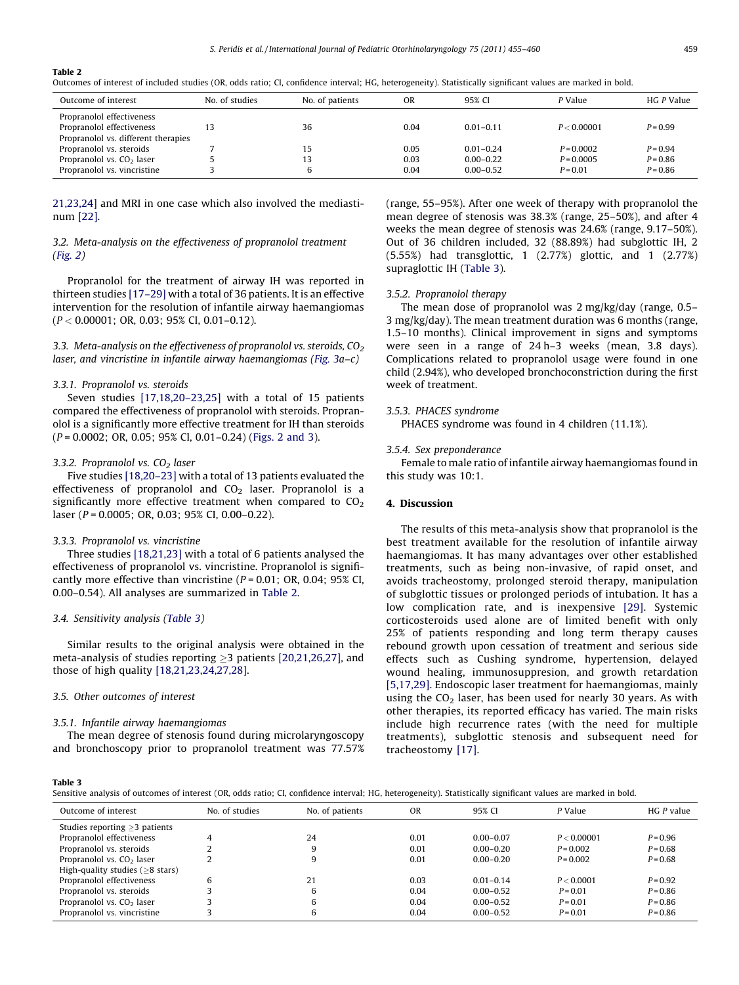#### Table 2

Outcomes of interest of included studies (OR, odds ratio; CI, confidence interval; HG, heterogeneity). Statistically significant values are marked in bold.

| Outcome of interest                                             | No. of studies | No. of patients | ΟR           | 95% CI                         | P Value                    | HG P Value               |
|-----------------------------------------------------------------|----------------|-----------------|--------------|--------------------------------|----------------------------|--------------------------|
| Propranolol effectiveness<br>Propranolol effectiveness          |                | 36              | 0.04         | $0.01 - 0.11$                  | P < 0.00001                | $P = 0.99$               |
| Propranolol vs. different therapies<br>Propranolol vs. steroids |                | 15              | 0.05         | $0.01 - 0.24$                  | $P = 0.0002$               | $P = 0.94$               |
| Propranolol vs. $CO2$ laser<br>Propranolol vs. vincristine      |                | 13              | 0.03<br>0.04 | $0.00 - 0.22$<br>$0.00 - 0.52$ | $P = 0.0005$<br>$P = 0.01$ | $P = 0.86$<br>$P = 0.86$ |

[21,23,24\]](#page-5-0) and MRI in one case which also involved the mediastinum [\[22\].](#page-5-0)

## 3.2. Meta-analysis on the effectiveness of propranolol treatment ([Fig. 2](#page-3-0))

Propranolol for the treatment of airway IH was reported in thirteen studies [\[17–29\]](#page-5-0) with a total of 36 patients. It is an effective intervention for the resolution of infantile airway haemangiomas  $(P < 0.00001; \text{ OR}, 0.03; 95\% \text{ CI}, 0.01-0.12).$ 

3.3. Meta-analysis on the effectiveness of propranolol vs. steroids,  $CO<sub>2</sub>$ laser, and vincristine in infantile airway haemangiomas ([Fig. 3](#page-3-0)a–c)

## 3.3.1. Propranolol vs. steroids

Seven studies [\[17,18,20–23,25\]](#page-5-0) with a total of 15 patients compared the effectiveness of propranolol with steroids. Propranolol is a significantly more effective treatment for IH than steroids (P = 0.0002; OR, 0.05; 95% CI, 0.01–0.24) [\(Figs. 2 and 3](#page-3-0)).

#### 3.3.2. Propranolol vs.  $CO<sub>2</sub>$  laser

Five studies [\[18,20–23\]](#page-5-0) with a total of 13 patients evaluated the effectiveness of propranolol and  $CO<sub>2</sub>$  laser. Propranolol is a significantly more effective treatment when compared to  $CO<sub>2</sub>$ laser (P = 0.0005; OR, 0.03; 95% CI, 0.00–0.22).

#### 3.3.3. Propranolol vs. vincristine

Three studies [\[18,21,23\]](#page-5-0) with a total of 6 patients analysed the effectiveness of propranolol vs. vincristine. Propranolol is significantly more effective than vincristine ( $P = 0.01$ ; OR, 0.04; 95% CI, 0.00–0.54). All analyses are summarized in Table 2.

#### 3.4. Sensitivity analysis (Table 3)

Similar results to the original analysis were obtained in the meta-analysis of studies reporting  $\geq$ 3 patients [\[20,21,26,27\],](#page-5-0) and those of high quality [\[18,21,23,24,27,28\]](#page-5-0).

## 3.5. Other outcomes of interest

#### 3.5.1. Infantile airway haemangiomas

The mean degree of stenosis found during microlaryngoscopy and bronchoscopy prior to propranolol treatment was 77.57% (range, 55–95%). After one week of therapy with propranolol the mean degree of stenosis was 38.3% (range, 25–50%), and after 4 weeks the mean degree of stenosis was 24.6% (range, 9.17–50%). Out of 36 children included, 32 (88.89%) had subglottic IH, 2 (5.55%) had transglottic, 1 (2.77%) glottic, and 1 (2.77%) supraglottic IH (Table 3).

#### 3.5.2. Propranolol therapy

The mean dose of propranolol was 2 mg/kg/day (range, 0.5– 3 mg/kg/day). The mean treatment duration was 6 months (range, 1.5–10 months). Clinical improvement in signs and symptoms were seen in a range of 24 h–3 weeks (mean, 3.8 days). Complications related to propranolol usage were found in one child (2.94%), who developed bronchoconstriction during the first week of treatment.

## 3.5.3. PHACES syndrome

PHACES syndrome was found in 4 children (11.1%).

#### 3.5.4. Sex preponderance

Female to male ratio of infantile airway haemangiomas found in this study was 10:1.

## 4. Discussion

The results of this meta-analysis show that propranolol is the best treatment available for the resolution of infantile airway haemangiomas. It has many advantages over other established treatments, such as being non-invasive, of rapid onset, and avoids tracheostomy, prolonged steroid therapy, manipulation of subglottic tissues or prolonged periods of intubation. It has a low complication rate, and is inexpensive [\[29\].](#page-5-0) Systemic corticosteroids used alone are of limited benefit with only 25% of patients responding and long term therapy causes rebound growth upon cessation of treatment and serious side effects such as Cushing syndrome, hypertension, delayed wound healing, immunosuppresion, and growth retardation [\[5,17,29\]](#page-5-0). Endoscopic laser treatment for haemangiomas, mainly using the  $CO<sub>2</sub>$  laser, has been used for nearly 30 years. As with other therapies, its reported efficacy has varied. The main risks include high recurrence rates (with the need for multiple treatments), subglottic stenosis and subsequent need for tracheostomy [\[17\]](#page-5-0).

#### Table 3

Sensitive analysis of outcomes of interest (OR, odds ratio; CI, confidence interval; HG, heterogeneity). Statistically significant values are marked in bold.

| Outcome of interest                    | No. of studies | No. of patients | OR   | 95% CI        | P Value     | HG P value |
|----------------------------------------|----------------|-----------------|------|---------------|-------------|------------|
| Studies reporting $\geq$ 3 patients    |                |                 |      |               |             |            |
| Propranolol effectiveness              |                | 24              | 0.01 | $0.00 - 0.07$ | P < 0.00001 | $P = 0.96$ |
| Propranolol vs. steroids               |                |                 | 0.01 | $0.00 - 0.20$ | $P = 0.002$ | $P = 0.68$ |
| Propranolol vs. CO <sub>2</sub> laser  |                |                 | 0.01 | $0.00 - 0.20$ | $P = 0.002$ | $P = 0.68$ |
| High-quality studies ( $\geq$ 8 stars) |                |                 |      |               |             |            |
| Propranolol effectiveness              | 6              | า 1             | 0.03 | $0.01 - 0.14$ | P < 0.0001  | $P = 0.92$ |
| Propranolol vs. steroids               |                |                 | 0.04 | $0.00 - 0.52$ | $P = 0.01$  | $P = 0.86$ |
| Propranolol vs. CO <sub>2</sub> laser  |                |                 | 0.04 | $0.00 - 0.52$ | $P = 0.01$  | $P = 0.86$ |
| Propranolol vs. vincristine            |                |                 | 0.04 | $0.00 - 0.52$ | $P = 0.01$  | $P = 0.86$ |